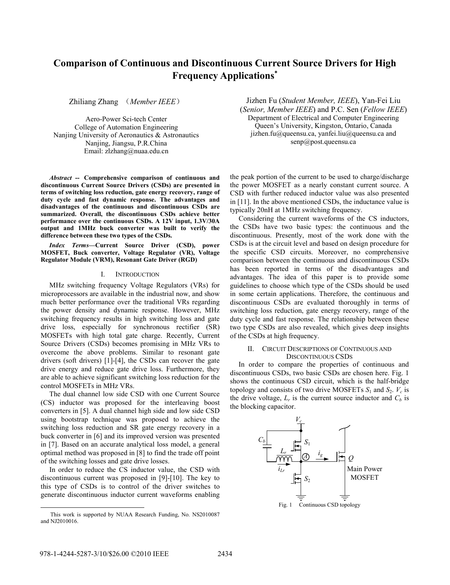# **Comparison of Continuous and Discontinuous Current Source Drivers for High Frequency Applications**<sup>∗</sup>

Zhiliang Zhang (*Member IEEE*)

Aero-Power Sci-tech Center College of Automation Engineering Nanjing University of Aeronautics & Astronautics Nanjing, Jiangsu, P.R.China Email: zlzhang@nuaa.edu.cn

*Abstract* **-- Comprehensive comparison of continuous and discontinuous Current Source Drivers (CSDs) are presented in terms of switching loss reduction, gate energy recovery, range of duty cycle and fast dynamic response. The advantages and disadvantages of the continuous and discontinuous CSDs are summarized. Overall, the discontinuous CSDs achieve better performance over the continuous CSDs. A 12V input, 1.3V/30A output and 1MHz buck converter was built to verify the difference between these two types of the CSDs.** 

*Index Terms***—Current Source Driver (CSD), power MOSFET, Buck converter, Voltage Regulator (VR), Voltage Regulator Module (VRM), Resonant Gate Driver (RGD)** 

# I. INTRODUCTION

MHz switching frequency Voltage Regulators (VRs) for microprocessors are available in the industrial now, and show much better performance over the traditional VRs regarding the power density and dynamic response. However, MHz switching frequency results in high switching loss and gate drive loss, especially for synchronous rectifier (SR) MOSFETs with high total gate charge. Recently, Current Source Drivers (CSDs) becomes promising in MHz VRs to overcome the above problems. Similar to resonant gate drivers (soft drivers) [1]-[4], the CSDs can recover the gate drive energy and reduce gate drive loss. Furthermore, they are able to achieve significant switching loss reduction for the control MOSFETs in MHz VRs.

The dual channel low side CSD with one Current Source (CS) inductor was proposed for the interleaving boost converters in [5]. A dual channel high side and low side CSD using bootstrap technique was proposed to achieve the switching loss reduction and SR gate energy recovery in a buck converter in [6] and its improved version was presented in [7]. Based on an accurate analytical loss model, a general optimal method was proposed in [8] to find the trade off point of the switching losses and gate drive losses.

In order to reduce the CS inductor value, the CSD with discontinuous current was proposed in [9]-[10]. The key to this type of CSDs is to control of the driver switches to generate discontinuous inductor current waveforms enabling

Jizhen Fu (*Student Member, IEEE*), Yan-Fei Liu (*Senior, Member IEEE*) and P.C. Sen (*Fellow IEEE*) Department of Electrical and Computer Engineering Queen's University, Kingston, Ontario, Canada jizhen.fu@queensu.ca, yanfei.liu@queensu.ca and senp@post.queensu.ca

the peak portion of the current to be used to charge/discharge the power MOSFET as a nearly constant current source. A CSD with further reduced inductor value was also presented in [11]. In the above mentioned CSDs, the inductance value is typically 20nH at 1MHz switching frequency.

Considering the current waveforms of the CS inductors, the CSDs have two basic types: the continuous and the discontinuous. Presently, most of the work done with the CSDs is at the circuit level and based on design procedure for the specific CSD circuits. Moreover, no comprehensive comparison between the continuous and discontinuous CSDs has been reported in terms of the disadvantages and advantages. The idea of this paper is to provide some guidelines to choose which type of the CSDs should be used in some certain applications. Therefore, the continuous and discontinuous CSDs are evaluated thoroughly in terms of switching loss reduction, gate energy recovery, range of the duty cycle and fast response. The relationship between these two type CSDs are also revealed, which gives deep insights of the CSDs at high frequency.

## II. CIRCUIT DESCRIPTIONS OF CONTINUOUS AND DISCONTINUOUS CSDS

In order to compare the properties of continuous and discontinuous CSDs, two basic CSDs are chosen here. Fig. 1 shows the continuous CSD circuit, which is the half-bridge topology and consists of two drive MOSFETs  $S_1$  and  $S_2$ .  $V_c$  is the drive voltage,  $L_r$  is the current source inductor and  $C_b$  is the blocking capacitor.



l

This work is supported by NUAA Research Funding, No. NS2010087 and NJ2010016.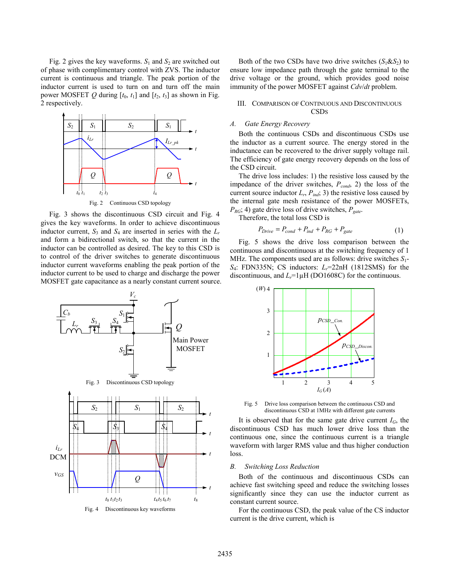Fig. 2 gives the key waveforms.  $S_1$  and  $S_2$  are switched out of phase with complimentary control with ZVS. The inductor current is continuous and triangle. The peak portion of the inductor current is used to turn on and turn off the main power MOSFET  $Q$  during  $[t_0, t_1]$  and  $[t_2, t_3]$  as shown in Fig. 2 respectively.



Fig. 3 shows the discontinuous CSD circuit and Fig. 4 gives the key waveforms. In order to achieve discontinuous inductor current,  $S_3$  and  $S_4$  are inserted in series with the  $L_r$ and form a bidirectional switch, so that the current in the inductor can be controlled as desired. The key to this CSD is to control of the driver switches to generate discontinuous inductor current waveforms enabling the peak portion of the inductor current to be used to charge and discharge the power MOSFET gate capacitance as a nearly constant current source.



Both of the two CSDs have two drive switches  $(S_1 \& S_2)$  to ensure low impedance path through the gate terminal to the drive voltage or the ground, which provides good noise immunity of the power MOSFET against *Cdv*/*dt* problem.

# III. COMPARISON OF CONTINUOUS AND DISCONTINUOUS **CSDs**

# *A. Gate Energy Recovery*

Both the continuous CSDs and discontinuous CSDs use the inductor as a current source. The energy stored in the inductance can be recovered to the driver supply voltage rail. The efficiency of gate energy recovery depends on the loss of the CSD circuit.

The drive loss includes: 1) the resistive loss caused by the impedance of the driver switches,  $P_{cond}$ , 2) the loss of the current source inductor  $L_r$ ,  $P_{ind}$ ; 3) the resistive loss caused by the internal gate mesh resistance of the power MOSFETs, *PRG*; 4) gate drive loss of drive switches, *Pgate*.

Therefore, the total loss CSD is

$$
P_{\text{Drive}} = P_{\text{cond}} + P_{\text{ind}} + P_{\text{RG}} + P_{\text{gate}} \tag{1}
$$

Fig. 5 shows the drive loss comparison between the continuous and discontinuous at the switching frequency of 1 MHz. The components used are as follows: drive switches *S*1- *S*4: FDN335N; CS inductors: *Lr*=22nH (1812SMS) for the discontinuous, and  $L_r = 1 \mu H$  (DO1608C) for the continuous.



Fig. 5 Drive loss comparison between the continuous CSD and discontinuous CSD at 1MHz with different gate currents

It is observed that for the same gate drive current  $I_G$ , the discontinuous CSD has much lower drive loss than the continuous one, since the continuous current is a triangle waveform with larger RMS value and thus higher conduction loss.

## *B. Switching Loss Reduction*

Both of the continuous and discontinuous CSDs can achieve fast switching speed and reduce the switching losses significantly since they can use the inductor current as constant current source.

For the continuous CSD, the peak value of the CS inductor current is the drive current, which is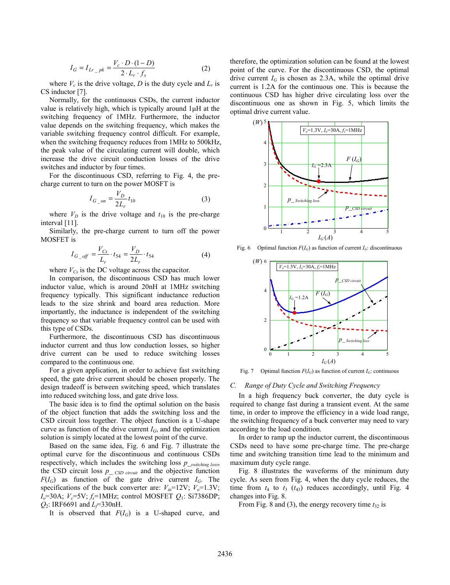$$
I_G = I_{Lr_{p}} = \frac{V_c \cdot D \cdot (1 - D)}{2 \cdot L_r \cdot f_s}
$$
 (2)

where  $V_c$  is the drive voltage,  $D$  is the duty cycle and  $L_r$  is CS inductor [7].

Normally, for the continuous CSDs, the current inductor value is relatively high, which is typically around 1μH at the switching frequency of 1MHz. Furthermore, the inductor value depends on the switching frequency, which makes the variable switching frequency control difficult. For example, when the switching frequency reduces from 1MHz to 500 kHz. the peak value of the circulating current will double, which increase the drive circuit conduction losses of the drive switches and inductor by four times.

For the discontinuous CSD, referring to Fig. 4, the precharge current to turn on the power MOSFT is

$$
I_{G\_on} = \frac{V_D}{2L_r} t_{10}
$$
 (3)

where  $V_D$  is the drive voltage and  $t_{10}$  is the pre-charge interval [11].

Similarly, the pre-charge current to turn off the power MOSFET is

$$
I_{G\_off} = \frac{V_{Cs}}{L_r} \cdot t_{54} = \frac{V_D}{2L_r} \cdot t_{54}
$$
 (4)

where  $V_{Cs}$  is the DC voltage across the capacitor.

In comparison, the discontinuous CSD has much lower inductor value, which is around 20nH at 1MHz switching frequency typically. This significant inductance reduction leads to the size shrink and board area reduction. More importantly, the inductance is independent of the switching frequency so that variable frequency control can be used with this type of CSDs.

Furthermore, the discontinuous CSD has discontinuous inductor current and thus low conduction losses, so higher drive current can be used to reduce switching losses compared to the continuous one.

For a given application, in order to achieve fast switching speed, the gate drive current should be chosen properly. The design tradeoff is between switching speed, which translates into reduced switching loss, and gate drive loss.

The basic idea is to find the optimal solution on the basis of the object function that adds the switching loss and the CSD circuit loss together. The object function is a U-shape curve as function of the drive current  $I_G$ , and the optimization solution is simply located at the lowest point of the curve.

Based on the same idea, Fig. 6 and Fig. 7 illustrate the optimal curve for the discontinuous and continuous CSDs respectively, which includes the switching loss *p*\_*switching loss*, the CSD circuit loss  $p_{\text{1}}$  *CSD circuit* and the objective function  $F(I_G)$  as function of the gate drive current  $I_G$ . The specifications of the buck converter are:  $V_{in}$ =12V;  $V_o$ =1.3V; *I<sub>o</sub>*=30A; *V<sub>c</sub>*=5V; *f<sub>s</sub>*=1MHz; control MOSFET *Q*<sub>1</sub>: Si7386DP; *Q*<sub>2</sub>: IRF6691 and *L*<sub> $f$ </sub>=330nH.

It is observed that *F*(*IG*) is a U-shaped curve, and

therefore, the optimization solution can be found at the lowest point of the curve. For the discontinuous CSD, the optimal drive current  $I_G$  is chosen as 2.3A, while the optimal drive current is 1.2A for the continuous one. This is because the continuous CSD has higher drive circulating loss over the discontinuous one as shown in Fig. 5, which limits the optimal drive current value.



Fig. 6 Optimal function  $F(I_G)$  as function of current  $I_G$ : discontinuous



Fig. 7 Optimal function  $F(I_G)$  as function of current  $I_G$ : continuous

## *C. Range of Duty Cycle and Switching Frequency*

In a high frequency buck converter, the duty cycle is required to change fast during a transient event. At the same time, in order to improve the efficiency in a wide load range, the switching frequency of a buck converter may need to vary according to the load condition.

In order to ramp up the inductor current, the discontinuous CSDs need to have some pre-charge time. The pre-charge time and switching transition time lead to the minimum and maximum duty cycle range.

Fig. 8 illustrates the waveforms of the minimum duty cycle. As seen from Fig. 4, when the duty cycle reduces, the time from  $t_4$  to  $t_3$  ( $t_{43}$ ) reduces accordingly, until Fig. 4 changes into Fig. 8.

From Fig. 8 and (3), the energy recovery time  $t_{32}$  is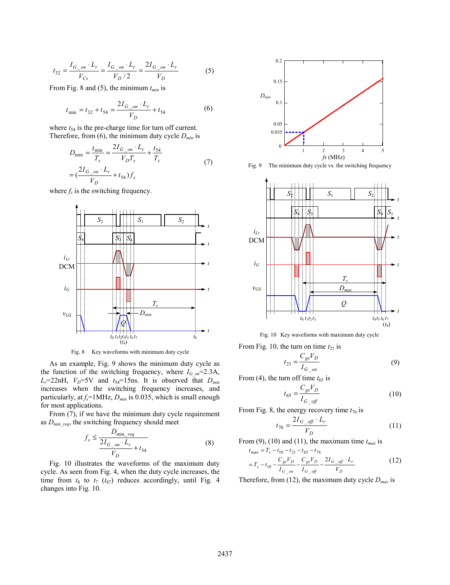$$
t_{32} = \frac{I_{G\_on} \cdot L_r}{V_{Cs}} = \frac{I_{G\_on} \cdot L_r}{V_D / 2} = \frac{2I_{G\_on} \cdot L_r}{V_D} \tag{5}
$$

From Fig. 8 and (5), the minimum  $t_{min}$  is

$$
t_{\min} = t_{32} + t_{54} = \frac{2I_{G\_on} \cdot L_r}{V_D} + t_{54}
$$
 (6)

where  $t_{54}$  is the pre-charge time for turn off current. Therefore, from  $(6)$ , the minimum duty cycle  $D_{min}$  is

$$
D_{\min} = \frac{t_{\min}}{T_s} = \frac{2I_{G\_on} \cdot L_r}{V_D T_s} + \frac{t_{54}}{T_s}
$$
  
= 
$$
(\frac{2I_{G\_on} \cdot L_r}{V_D} + t_{54})f_s
$$
 (7)

where  $f<sub>s</sub>$  is the switching frequency.



Fig. 8 Key waveforms with minimum duty cycle

As an example, Fig. 9 shows the minimum duty cycle as the function of the switching frequency, where  $I_{G \text{ on}}=2.3$ A,  $L_r$ =22nH,  $V_D$ =5V and  $t_{54}$ =15ns. It is observed that  $D_{min}$ increases when the switching frequency increases, and particularly, at  $f_s$ =1MHz,  $D_{min}$  is 0.035, which is small enough for most applications.

From (7), if we have the minimum duty cycle requirement as  $D_{min\,req}$ , the switching frequency should meet

$$
f_s \le \frac{D_{\min_{req}}}{\frac{2I_{G_{on}} \cdot L_r}{V_D} + t_{54}}\tag{8}
$$

Fig. 10 illustrates the waveforms of the maximum duty cycle. As seen from Fig. 4, when the duty cycle increases, the time from  $t_8$  to  $t_7$  ( $t_{87}$ ) reduces accordingly, until Fig. 4 changes into Fig. 10.



Fig. 9 The minimum duty cycle vs. the switching frequency



Fig. 10 Key waveforms with maximum duty cycle

From Fig. 10, the turn on time  $t_{21}$  is

$$
t_{21} = \frac{C_{gs} V_D}{I_{G\_on}}
$$
 (9)

From (4), the turn off time  $t_{65}$  is

$$
t_{65} = \frac{C_{gs} V_D}{I_{G\_off}}
$$
\n
$$
\tag{10}
$$

From Fig. 8, the energy recovery time  $t_{76}$  is

$$
t_{76} = \frac{2I_{G\_off} \cdot L_r}{V_D} \tag{11}
$$

From  $(9)$ ,  $(10)$  and  $(11)$ , the maximum time  $t_{max}$  is

$$
t_{\text{max}} = T_s - t_{10} - t_{21} - t_{65} - t_{76}
$$
  
=  $T_s - t_{10} - \frac{C_{gs}V_D}{I_{G\_on}} - \frac{C_{gs}V_D}{I_{G\_off}} - \frac{2I_{G\_off} \cdot L_r}{V_D}$  (12)

Therefore, from (12), the maximum duty cycle  $D_{max}$  is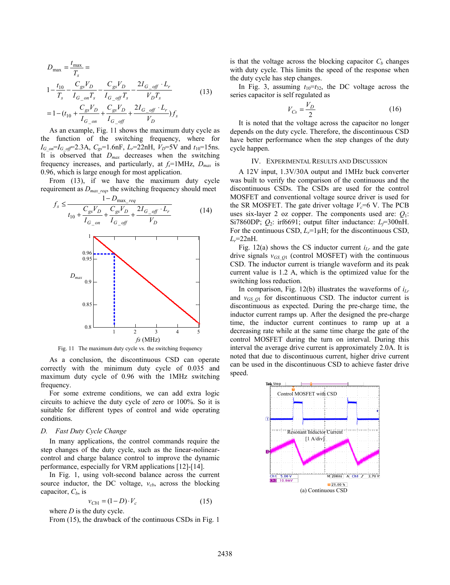$$
D_{\text{max}} = \frac{t_{\text{max}}}{T_s} =
$$
  
\n
$$
1 - \frac{t_{10}}{T_s} - \frac{C_{gs}V_D}{I_{G_{on}T_s}} - \frac{C_{gs}V_D}{I_{G_{off}}T_s} - \frac{2I_{G_{off}} \cdot L_r}{V_D T_s}
$$
  
\n
$$
= 1 - (t_{10} + \frac{C_{gs}V_D}{I_{G_{on}T_s}} + \frac{C_{gs}V_D}{I_{G_{off}}} + \frac{2I_{G_{off}} \cdot L_r}{V_D})f_s
$$
\n(13)

As an example, Fig. 11 shows the maximum duty cycle as the function of the switching frequency, where for  $I_{G \text{ on}}=I_{G \text{ off}}=2.3$ A,  $C_{gs}=1.6$ nF,  $L_{r}=22$ nH,  $V_{D}=5$ V and  $t_{10}=15$ ns. It is observed that *Dmax* decreases when the switching frequency increases, and particularly, at *fs*=1MHz, *Dmax* is 0.96, which is large enough for most application.

From (13), if we have the maximum duty cycle requirement as *Dmax*\_*req*, the switching frequency should meet



Fig. 11 The maximum duty cycle vs. the switching frequency

As a conclusion, the discontinuous CSD can operate correctly with the minimum duty cycle of 0.035 and maximum duty cycle of 0.96 with the 1MHz switching frequency.

For some extreme conditions, we can add extra logic circuits to achieve the duty cycle of zero or 100%. So it is suitable for different types of control and wide operating conditions.

#### *D. Fast Duty Cycle Change*

In many applications, the control commands require the step changes of the duty cycle, such as the linear-nolinearcontrol and charge balance control to improve the dynamic performance, especially for VRM applications [12]-[14].

In Fig. 1, using volt-second balance across the current source inductor, the DC voltage,  $v_{cb}$ , across the blocking capacitor,  $C_b$ , is

$$
v_{Cb1} = (1 - D) \cdot V_c \tag{15}
$$

where *D* is the duty cycle.

From (15), the drawback of the continuous CSDs in Fig. 1

is that the voltage across the blocking capacitor  $C<sub>b</sub>$  changes with duty cycle. This limits the speed of the response when the duty cycle has step changes.

In Fig. 3, assuming  $t_{10} = t_{32}$ , the DC voltage across the series capacitor is self regulated as

$$
V_{Cs} = \frac{V_D}{2} \tag{16}
$$

It is noted that the voltage across the capacitor no longer depends on the duty cycle. Therefore, the discontinuous CSD have better performance when the step changes of the duty cycle happen.

#### IV. EXPERIMENTAL RESULTS AND DISCUSSION

A 12V input, 1.3V/30A output and 1MHz buck converter was built to verify the comparison of the continuous and the discontinuous CSDs. The CSDs are used for the control MOSFET and conventional voltage source driver is used for the SR MOSFET. The gate driver voltage  $V<sub>c</sub>=6$  V. The PCB uses six-layer 2 oz copper. The components used are:  $Q_1$ : Si7860DP;  $Q_2$ : irf6691; output filter inductance:  $L_f$ =300nH. For the continuous CSD,  $L_r = 1 \mu H$ ; for the discontinuous CSD, *Lr*=22nH.

Fig. 12(a) shows the CS inductor current  $i_{Lr}$  and the gate drive signals  $v_{GSO1}$  (control MOSFET) with the continuous CSD. The inductor current is triangle waveform and its peak current value is 1.2 A, which is the optimized value for the switching loss reduction.

In comparison, Fig. 12(b) illustrates the waveforms of  $i_{Lr}$ and  $v_{GSO1}$  for discontinuous CSD. The inductor current is discontinuous as expected. During the pre-charge time, the inductor current ramps up. After the designed the pre-charge time, the inductor current continues to ramp up at a decreasing rate while at the same time charge the gate of the control MOSFET during the turn on interval. During this interval the average drive current is approximately 2.0A. It is noted that due to discontinuous current, higher drive current can be used in the discontinuous CSD to achieve faster drive speed.

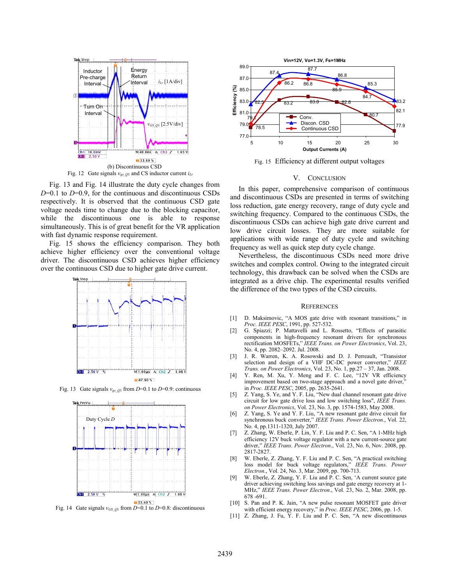

Fig. 12 Gate signals *vgs*\_*Q*1 and CS inductor current *iLr*

Fig. 13 and Fig. 14 illustrate the duty cycle changes from *D*=0.1 to *D*=0.9, for the continuous and discontinuous CSDs respectively. It is observed that the continuous CSD gate voltage needs time to change due to the blocking capacitor, while the discontinuous one is able to response simultaneously. This is of great benefit for the VR application with fast dynamic response requirement.

Fig. 15 shows the efficiency comparison. They both achieve higher efficiency over the conventional voltage driver. The discontinuous CSD achieves higher efficiency over the continuous CSD due to higher gate drive current.



Fig. 13 Gate signals  $v_{gs}$   $_{Q1}$  from *D*=0.1 to *D*=0.9: continuous



Fig. 14 Gate signals  $v_{GS}$   $_{Q1}$  from *D*=0.1 to *D*=0.8: discontinuous



Fig. 15 Efficiency at different output voltages

### V. CONCLUSION

In this paper, comprehensive comparison of continuous and discontinuous CSDs are presented in terms of switching loss reduction, gate energy recovery, range of duty cycle and switching frequency. Compared to the continuous CSDs, the discontinuous CSDs can achieve high gate drive current and low drive circuit losses. They are more suitable for applications with wide range of duty cycle and switching frequency as well as quick step duty cycle change.

Nevertheless, the discontinuous CSDs need more drive switches and complex control. Owing to the integrated circuit technology, this drawback can be solved when the CSDs are integrated as a drive chip. The experimental results verified the difference of the two types of the CSD circuits.

#### **REFERENCES**

- [1] D. Maksimovic, "A MOS gate drive with resonant transitions," in *Proc. IEEE PESC*, 1991, pp. 527-532.
- [2] G. Spiazzi; P. Mattavelli and L. Rossetto, "Effects of parasitic components in high-frequency resonant drivers for synchronous rectification MOSFETs," *IEEE Trans. on Power Electronics*, Vol. 23, No. 4, pp. 2082–2092. Jul. 2008.
- [3] J. R. Warren, K. A. Rosowski and D. J. Perreault, "Transistor selection and design of a VHF DC-DC power converter," IEEE *Trans. on Power Electronics*, Vol. 23, No. 1, pp.27 – 37, Jan. 2008.
- [4] Y. Ren, M. Xu, Y. Meng and F. C. Lee, "12V VR efficiency improvement based on two-stage approach and a novel gate driver, in *Proc. IEEE PESC*, 2005, pp. 2635-2641.
- [5] Z. Yang, S. Ye, and Y. F. Liu, "New dual channel resonant gate drive circuit for low gate drive loss and low switching loss", *IEEE Trans. on Power Electronics*, Vol. 23, No. 3, pp. 1574-1583, May 2008.
- [6] Z. Yang, S. Ye and Y. F. Liu, "A new resonant gate drive circuit for synchronous buck converter," *IEEE Trans. Power Electron*., Vol. 22, No. 4, pp.1311-1320, July 2007.
- [7] Z. Zhang, W. Eberle, P. Lin, Y. F. Liu and P. C. Sen, "A 1-MHz high efficiency 12V buck voltage regulator with a new current-source gate driver," *IEEE Trans. Power Electron*., Vol. 23, No. 6, Nov. 2008, pp. 2817-2827.
- [8] W. Eberle, Z. Zhang, Y. F. Liu and P. C. Sen, "A practical switching loss model for buck voltage regulators," *IEEE Trans. Power Electron*., Vol. 24, No. 3, Mar. 2009, pp. 700-713.
- [9] W. Eberle, Z. Zhang, Y. F. Liu and P. C. Sen, 'A current source gate driver achieving switching loss savings and gate energy recovery at 1- MHz," *IEEE Trans. Power Electron*., Vol. 23, No. 2, Mar. 2008, pp. 678 -691.
- [10] S. Pan and P. K. Jain, "A new pulse resonant MOSFET gate driver with efficient energy recovery," in *Proc. IEEE PESC*, 2006, pp. 1-5.
- [11] Z. Zhang, J. Fu, Y. F. Liu and P. C. Sen, "A new discontinuous